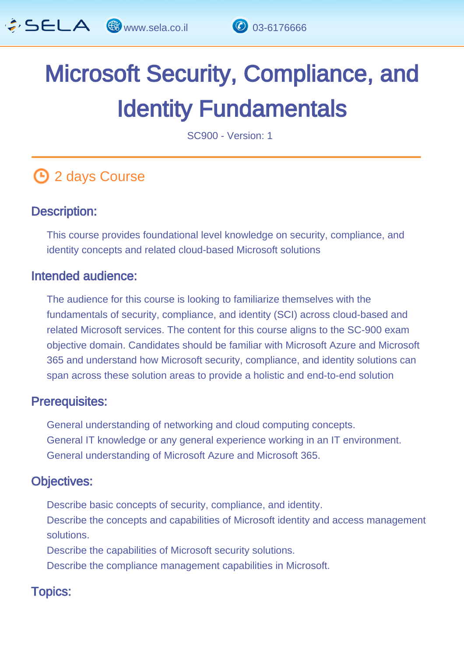

# Microsoft Security, Compliance, and Identity Fundamentals

SC900 - Version: 1

## **4** 2 days Course

#### Description: Ĩ

This course provides foundational level knowledge on security, compliance, and identity concepts and related cloud-based Microsoft solutions

#### Intended audience: Ï

The audience for this course is looking to familiarize themselves with the fundamentals of security, compliance, and identity (SCI) across cloud-based and related Microsoft services. The content for this course aligns to the SC-900 exam objective domain. Candidates should be familiar with Microsoft Azure and Microsoft 365 and understand how Microsoft security, compliance, and identity solutions can span across these solution areas to provide a holistic and end-to-end solution

#### Prerequisites: L,

General understanding of networking and cloud computing concepts. General IT knowledge or any general experience working in an IT environment. General understanding of Microsoft Azure and Microsoft 365.

#### Objectives: Ĭ

Describe basic concepts of security, compliance, and identity. Describe the concepts and capabilities of Microsoft identity and access management solutions.

Describe the capabilities of Microsoft security solutions.

Describe the compliance management capabilities in Microsoft.

## Topics: